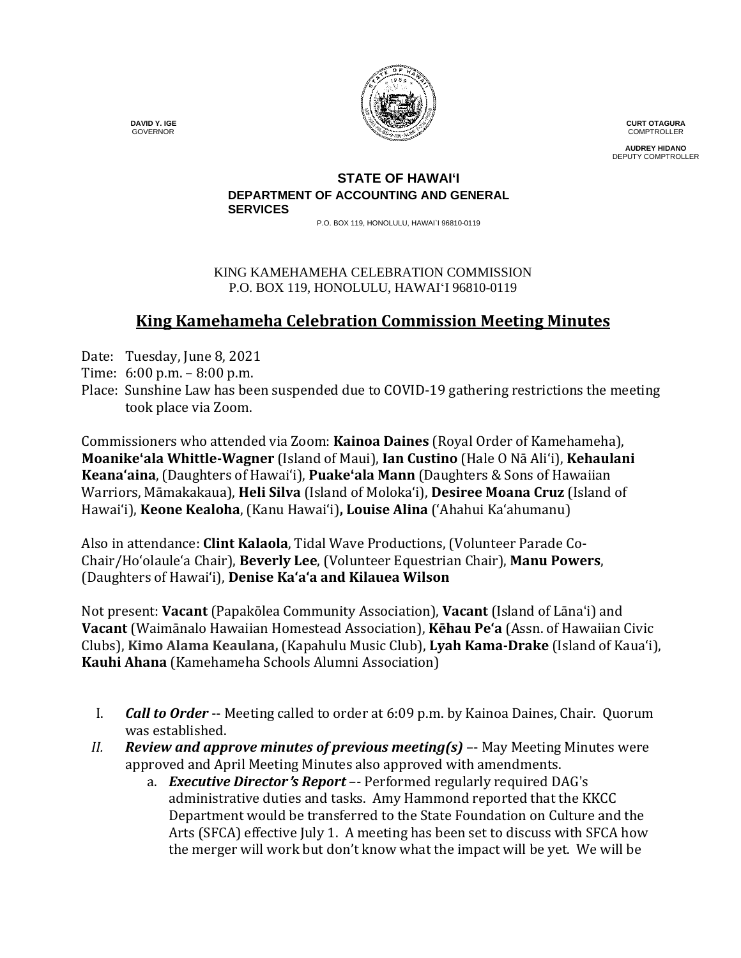

**CURT OTAGURA** COMPTROLLER

**AUDREY HIDANO** DEPUTY COMPTROLLER

#### **STATE OF HAWAI'I DEPARTMENT OF ACCOUNTING AND GENERAL SERVICES**

P.O. BOX 119, HONOLULU, HAWAI`I 96810-0119

#### KING KAMEHAMEHA CELEBRATION COMMISSION P.O. BOX 119, HONOLULU, HAWAIʻI 96810-0119

# **King Kamehameha Celebration Commission Meeting Minutes**

Date: Tuesday, June 8, 2021

- Time: 6:00 p.m. 8:00 p.m.
- Place: Sunshine Law has been suspended due to COVID-19 gathering restrictions the meeting took place via Zoom.

Commissioners who attended via Zoom: **Kainoa Daines** (Royal Order of Kamehameha), **Moanike'ala Whittle-Wagner** (Island of Maui), **Ian Custino** (Hale O Nā Ali'i), **Kehaulani Keana'aina**, (Daughters of Hawai'i), **Puake'ala Mann** (Daughters & Sons of Hawaiian Warriors, Māmakakaua), **Heli Silva** (Island of Molokaʻi), **Desiree Moana Cruz** (Island of Hawai'i), **Keone Kealoha**, (Kanu Hawaiʻi)**, Louise Alina** ('Ahahui Kaʻahumanu)

Also in attendance: **Clint Kalaola**, Tidal Wave Productions, (Volunteer Parade Co-Chair/Ho'olaule'a Chair), **Beverly Lee**, (Volunteer Equestrian Chair), **Manu Powers**, (Daughters of Hawaiʻi), **Denise Kaʻaʻa and Kilauea Wilson**

Not present: **Vacant** (Papakōlea Community Association), **Vacant** (Island of Lāna'i) and **Vacant** (Waimānalo Hawaiian Homestead Association), **Kēhau Pe'a** (Assn. of Hawaiian Civic Clubs), **Kimo Alama Keaulana,** (Kapahulu Music Club), **Lyah Kama-Drake** (Island of Kaua'i), **Kauhi Ahana** (Kamehameha Schools Alumni Association)

- I. *Call to Order* -- Meeting called to order at 6:09 p.m. by Kainoa Daines, Chair. Quorum was established.
- *II. Review and approve minutes of previous meeting(s)* –- May Meeting Minutes were approved and April Meeting Minutes also approved with amendments.
	- a. *Executive Director*'*s Report* –- Performed regularly required DAG's administrative duties and tasks. Amy Hammond reported that the KKCC Department would be transferred to the State Foundation on Culture and the Arts (SFCA) effective July 1. A meeting has been set to discuss with SFCA how the merger will work but don't know what the impact will be yet. We will be

 **DAVID Y. IGE** GOVERNOR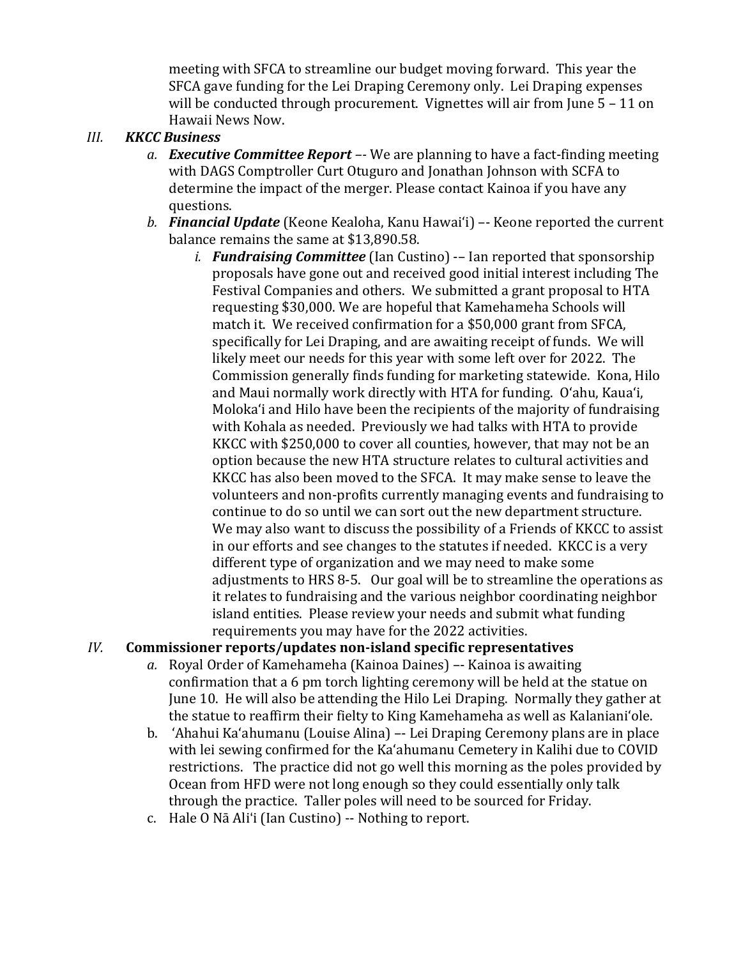meeting with SFCA to streamline our budget moving forward. This year the SFCA gave funding for the Lei Draping Ceremony only. Lei Draping expenses will be conducted through procurement. Vignettes will air from June 5 - 11 on Hawaii News Now.

### *III. KKCC Business*

- *a. Executive Committee Report –-* We are planning to have a fact-finding meeting with DAGS Comptroller Curt Otuguro and Jonathan Johnson with SCFA to determine the impact of the merger. Please contact Kainoa if you have any questions.
- *b. Financial Update* (Keone Kealoha, Kanu Hawaiʻi) –- Keone reported the current balance remains the same at \$13,890.58.
	- *i. Fundraising Committee* (Ian Custino) -– Ian reported that sponsorship proposals have gone out and received good initial interest including The Festival Companies and others. We submitted a grant proposal to HTA requesting \$30,000. We are hopeful that Kamehameha Schools will match it. We received confirmation for a \$50,000 grant from SFCA, specifically for Lei Draping, and are awaiting receipt of funds. We will likely meet our needs for this year with some left over for 2022. The Commission generally finds funding for marketing statewide. Kona, Hilo and Maui normally work directly with HTA for funding. Oʻahu, Kauaʻi, Molokaʻi and Hilo have been the recipients of the majority of fundraising with Kohala as needed. Previously we had talks with HTA to provide KKCC with \$250,000 to cover all counties, however, that may not be an option because the new HTA structure relates to cultural activities and KKCC has also been moved to the SFCA. It may make sense to leave the volunteers and non-profits currently managing events and fundraising to continue to do so until we can sort out the new department structure. We may also want to discuss the possibility of a Friends of KKCC to assist in our efforts and see changes to the statutes if needed. KKCC is a very different type of organization and we may need to make some adjustments to HRS 8-5. Our goal will be to streamline the operations as it relates to fundraising and the various neighbor coordinating neighbor island entities. Please review your needs and submit what funding requirements you may have for the 2022 activities.

## *IV.* **Commissioner reports/updates non-island specific representatives**

- *a.* Royal Order of Kamehameha (Kainoa Daines) –- Kainoa is awaiting confirmation that a 6 pm torch lighting ceremony will be held at the statue on June 10. He will also be attending the Hilo Lei Draping. Normally they gather at the statue to reaffirm their fielty to King Kamehameha as well as Kalanianiʻole.
- b. 'Ahahui Ka'ahumanu (Louise Alina) –- Lei Draping Ceremony plans are in place with lei sewing confirmed for the Kaʻahumanu Cemetery in Kalihi due to COVID restrictions. The practice did not go well this morning as the poles provided by Ocean from HFD were not long enough so they could essentially only talk through the practice. Taller poles will need to be sourced for Friday.
- c. Hale O Nā Ali'i (Ian Custino) -- Nothing to report.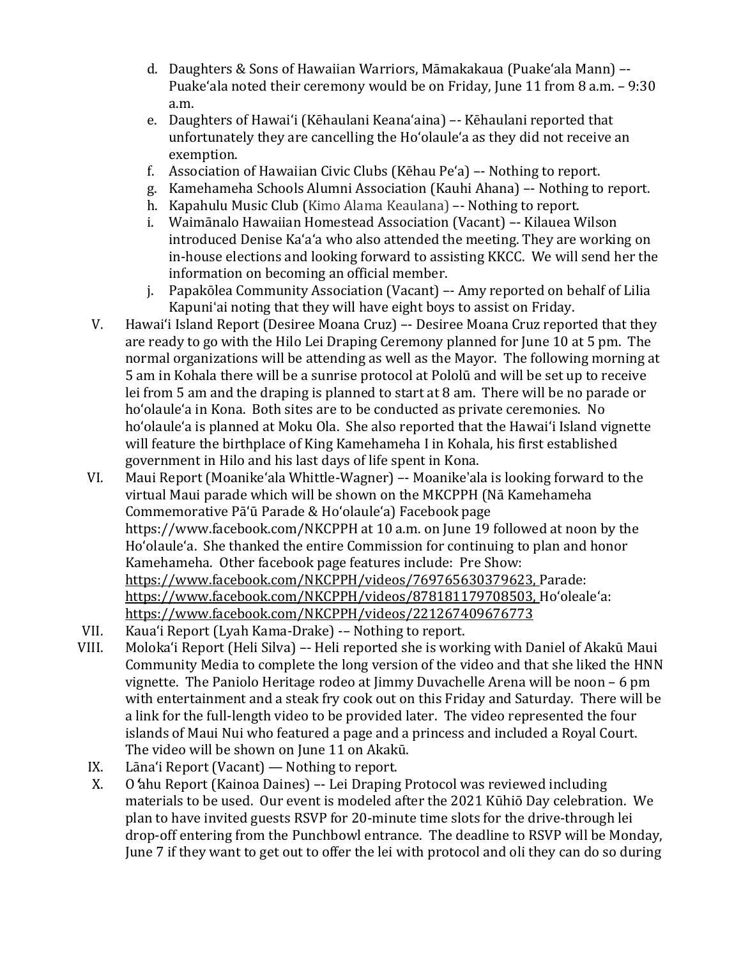- d. Daughters & Sons of Hawaiian Warriors, Māmakakaua (Puake'ala Mann) –- Puakeʻala noted their ceremony would be on Friday, June 11 from 8 a.m. – 9:30 a.m.
- e. Daughters of Hawai'i (Kēhaulani Keana'aina) –- Kēhaulani reported that unfortunately they are cancelling the Hoʻolauleʻa as they did not receive an exemption.
- f. Association of Hawaiian Civic Clubs (Kēhau Peʻa) –- Nothing to report.
- g. Kamehameha Schools Alumni Association (Kauhi Ahana) –- Nothing to report.
- h. Kapahulu Music Club (Kimo Alama Keaulana) –- Nothing to report.
- i. Waimānalo Hawaiian Homestead Association (Vacant) –- Kilauea Wilson introduced Denise Kaʻaʻa who also attended the meeting. They are working on in-house elections and looking forward to assisting KKCC. We will send her the information on becoming an official member.
- j. Papakōlea Community Association (Vacant) –- Amy reported on behalf of Lilia Kapuni'ai noting that they will have eight boys to assist on Friday.
- V. Hawaiʻi Island Report (Desiree Moana Cruz) –- Desiree Moana Cruz reported that they are ready to go with the Hilo Lei Draping Ceremony planned for June 10 at 5 pm. The normal organizations will be attending as well as the Mayor. The following morning at 5 am in Kohala there will be a sunrise protocol at Pololū and will be set up to receive lei from 5 am and the draping is planned to start at 8 am. There will be no parade or hoʻolauleʻa in Kona. Both sites are to be conducted as private ceremonies. No hoʻolauleʻa is planned at Moku Ola. She also reported that the Hawaiʻi Island vignette will feature the birthplace of King Kamehameha I in Kohala, his first established government in Hilo and his last days of life spent in Kona.
- VI. Maui Report (Moanikeʻala Whittle-Wagner) –- Moanike'ala is looking forward to the virtual Maui parade which will be shown on the MKCPPH (Nā Kamehameha Commemorative Pāʻū Parade & Hoʻolauleʻa) Facebook page https://www.facebook.com/NKCPPH [a](https://urldefense.com/v3/__https:/www.facebook.com/NKCPPH__;!!LIYSdFfckKA!m1vwrvebqzfeo35AwrELK0ShHZPbMloLWIuUac_XavO1tzi3znqDNvv-A4Du-Es$)t 10 a.m. on June 19 followed at noon by the Hoʻolauleʻa. She thanked the entire Commission for continuing to plan and honor Kamehameha. Other facebook page features include: Pre Show: [https://www.facebook.com/NKCPPH/videos/769765630379623,](https://urldefense.com/v3/__https:/www.facebook.com/NKCPPH/videos/769765630379623__;!!LIYSdFfckKA!m1vwrvebqzfeo35AwrELK0ShHZPbMloLWIuUac_XavO1tzi3znqDNvv-LhZYlfY$) Parade: [https://www.facebook.com/NKCPPH/videos/878181179708503,](https://urldefense.com/v3/__https:/www.facebook.com/NKCPPH/videos/878181179708503__;!!LIYSdFfckKA!m1vwrvebqzfeo35AwrELK0ShHZPbMloLWIuUac_XavO1tzi3znqDNvv-Ko5eZI8$) Hoʻolealeʻa: [https://www.facebook.com/NKCPPH/videos/221267409676773](https://urldefense.com/v3/__https:/www.facebook.com/NKCPPH/videos/221267409676773__;!!LIYSdFfckKA!m1vwrvebqzfeo35AwrELK0ShHZPbMloLWIuUac_XavO1tzi3znqDNvv-UFbg7T0$)
- VII. Kauaʻi Report (Lyah Kama-Drake) -– Nothing to report.
- Moloka'i Report (Heli Silva) –- Heli reported she is working with Daniel of Akakū Maui Community Media to complete the long version of the video and that she liked the HNN vignette. The Paniolo Heritage rodeo at Jimmy Duvachelle Arena will be noon – 6 pm with entertainment and a steak fry cook out on this Friday and Saturday. There will be a link for the full-length video to be provided later. The video represented the four islands of Maui Nui who featured a page and a princess and included a Royal Court. The video will be shown on June 11 on Akakū.
- IX. Lāna'i Report (Vacant) Nothing to report.<br>X. O 'ahu Report (Kainoa Daines) -- Lei Draping
- O'ahu Report (Kainoa Daines) –- Lei Draping Protocol was reviewed including materials to be used. Our event is modeled after the 2021 Kūhiō Day celebration. We plan to have invited guests RSVP for 20-minute time slots for the drive-through lei drop-off entering from the Punchbowl entrance. The deadline to RSVP will be Monday, June 7 if they want to get out to offer the lei with protocol and oli they can do so during